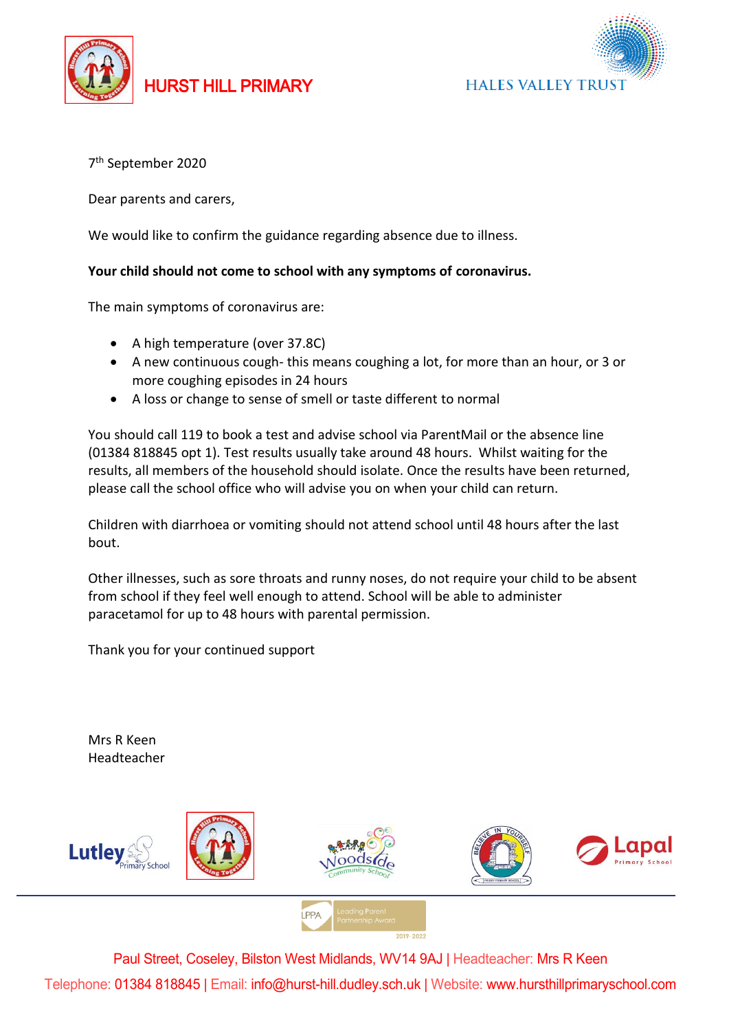

## HURST HILL PRIMARY



7 th September 2020

Dear parents and carers,

We would like to confirm the guidance regarding absence due to illness.

## **Your child should not come to school with any symptoms of coronavirus.**

The main symptoms of coronavirus are:

- A high temperature (over 37.8C)
- A new continuous cough- this means coughing a lot, for more than an hour, or 3 or more coughing episodes in 24 hours
- A loss or change to sense of smell or taste different to normal

You should call 119 to book a test and advise school via ParentMail or the absence line (01384 818845 opt 1). Test results usually take around 48 hours. Whilst waiting for the results, all members of the household should isolate. Once the results have been returned, please call the school office who will advise you on when your child can return.

Children with diarrhoea or vomiting should not attend school until 48 hours after the last bout.

Other illnesses, such as sore throats and runny noses, do not require your child to be absent from school if they feel well enough to attend. School will be able to administer paracetamol for up to 48 hours with parental permission.

Thank you for your continued support

Mrs R Keen Headteacher



Paul Street, Coseley, Bilston West Midlands, WV14 9AJ | Headteacher: Mrs R Keen Telephone: 01384 818845 | Email: info@hurst-hill.dudley.sch.uk | Website: www.hursthillprimaryschool.com

**I PPA**